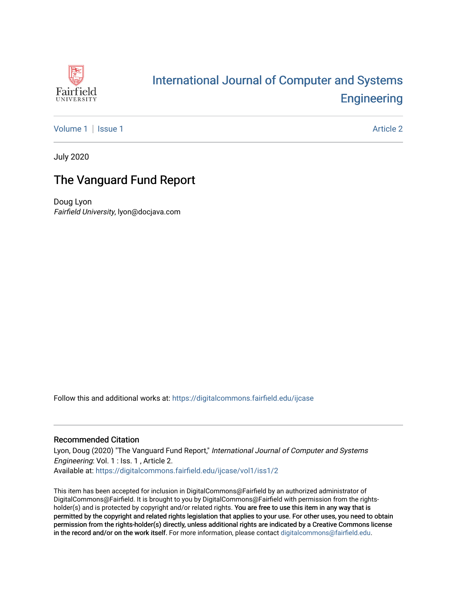

## International Journal of Computer and Systems **Engineering**

Volume 1 | Issue 1 Article 2

July 2020

### The Vanguard Fund Report

Doug Lyon Fairfield University, lyon@docjava.com

Follow this and additional works at: https://digitalcommons.fairfield.edu/ijcase

#### Recommended Citation

Lyon, Doug (2020) "The Vanguard Fund Report," International Journal of Computer and Systems Engineering: Vol. 1 : Iss. 1 , Article 2. Available at: https://digitalcommons.fairfield.edu/ijcase/vol1/iss1/2

This item has been accepted for inclusion in DigitalCommons@Fairfield by an authorized administrator of DigitalCommons@Fairfield. It is brought to you by DigitalCommons@Fairfield with permission from the rightsholder(s) and is protected by copyright and/or related rights. You are free to use this item in any way that is permitted by the copyright and related rights legislation that applies to your use. For other uses, you need to obtain permission from the rights-holder(s) directly, unless additional rights are indicated by a Creative Commons license in the record and/or on the work itself. For more information, please contact digitalcommons@fairfield.edu.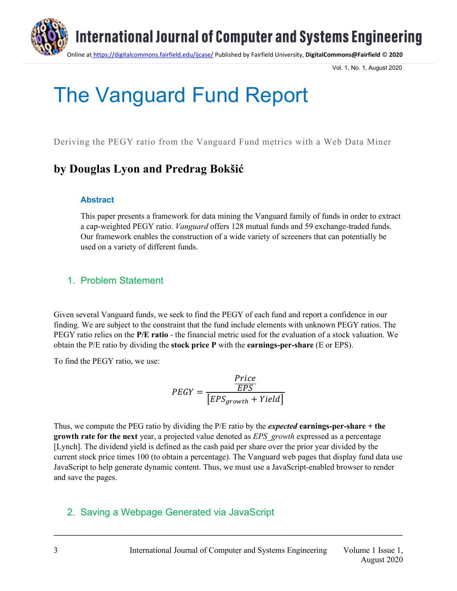

Vol. 1, No. 1, August 2020

# The Vanguard Fund Report

Deriving the PEGY ratio from the Vanguard Fund metrics with a Web Data Miner

## **by Douglas Lyon and Predrag Bokšić**

#### **Abstract**

This paper presents a framework for data mining the Vanguard family of funds in order to extract a cap-weighted PEGY ratio. *Vanguard* offers 128 mutual funds and 59 exchange-traded funds. Our framework enables the construction of a wide variety of screeners that can potentially be used on a variety of different funds.

#### 1. Problem Statement

Given several Vanguard funds, we seek to find the PEGY of each fund and report a confidence in our finding. We are subject to the constraint that the fund include elements with unknown PEGY ratios. The PEGY ratio relies on the **P/E ratio** - the financial metric used for the evaluation of a stock valuation. We obtain the P/E ratio by dividing the **stock price P** with the **earnings-per-share** (E or EPS).

To find the PEGY ratio, we use:

$$
PEGY = \frac{\frac{Price}{EPS}}{[EPS_{growth} + Yield]}
$$

Thus, we compute the PEG ratio by dividing the P/E ratio by the *expected* **earnings-per-share + the growth rate for the next** year, a projected value denoted as *EPS\_growth* expressed as a percentage [Lynch]. The dividend yield is defined as the cash paid per share over the prior year divided by the current stock price times 100 (to obtain a percentage). The Vanguard web pages that display fund data use JavaScript to help generate dynamic content. Thus, we must use a JavaScript-enabled browser to render and save the pages.

**\_\_\_\_\_\_\_\_\_\_\_\_\_\_\_\_\_\_\_\_\_\_\_\_\_\_\_\_\_\_\_\_\_\_\_\_\_\_\_\_\_\_\_\_\_\_\_\_\_\_\_\_\_\_\_\_\_\_\_\_\_\_\_\_\_\_\_\_\_\_\_\_\_\_\_\_\_\_\_\_\_\_\_\_\_**

#### 2. Saving a Webpage Generated via JavaScript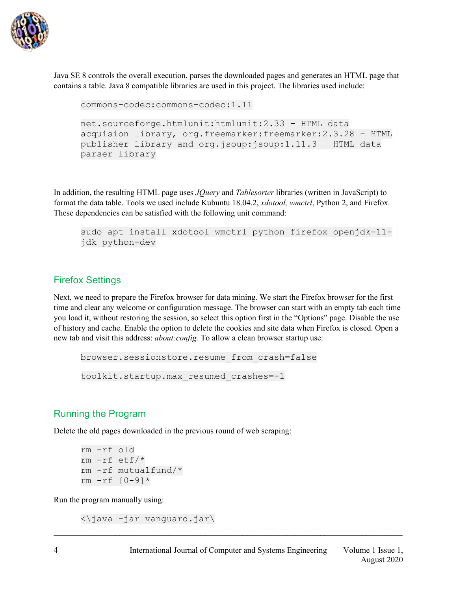

Java SE 8 controls the overall execution, parses the downloaded pages and generates an HTML page that contains a table. Java 8 compatible libraries are used in this project. The libraries used include:

```
commons-codec:commons-codec:1.11
net.sourceforge.htmlunit:htmlunit:2.33 – HTML data 
acquision library, org.freemarker:freemarker:2.3.28 – HTML 
publisher library and org.jsoup:jsoup:1.11.3 – HTML data 
parser library
```
In addition, the resulting HTML page uses *JQuery* and *Tablesorter* libraries (written in JavaScript) to format the data table. Tools we used include Kubuntu 18.04.2, *xdotool, wmctrl*, Python 2, and Firefox. These dependencies can be satisfied with the following unit command:

```
sudo apt install xdotool wmctrl python firefox openjdk-11-
jdk python-dev
```
#### Firefox Settings

Next, we need to prepare the Firefox browser for data mining. We start the Firefox browser for the first time and clear any welcome or configuration message. The browser can start with an empty tab each time you load it, without restoring the session, so select this option first in the "Options" page. Disable the use of history and cache. Enable the option to delete the cookies and site data when Firefox is closed. Open a new tab and visit this address: *about:config.* To allow a clean browser startup use:

**\_\_\_\_\_\_\_\_\_\_\_\_\_\_\_\_\_\_\_\_\_\_\_\_\_\_\_\_\_\_\_\_\_\_\_\_\_\_\_\_\_\_\_\_\_\_\_\_\_\_\_\_\_\_\_\_\_\_\_\_\_\_\_\_\_\_\_\_\_\_\_\_\_\_\_\_\_\_\_\_\_\_\_\_\_**

```
browser.sessionstore.resume_from_crash=false
toolkit.startup.max_resumed_crashes=-1
```
#### Running the Program

Delete the old pages downloaded in the previous round of web scraping:

rm -rf old rm -rf etf/\* rm -rf mutualfund/\* rm -rf [0-9]\*

Run the program manually using:

<\java -jar vanguard.jar\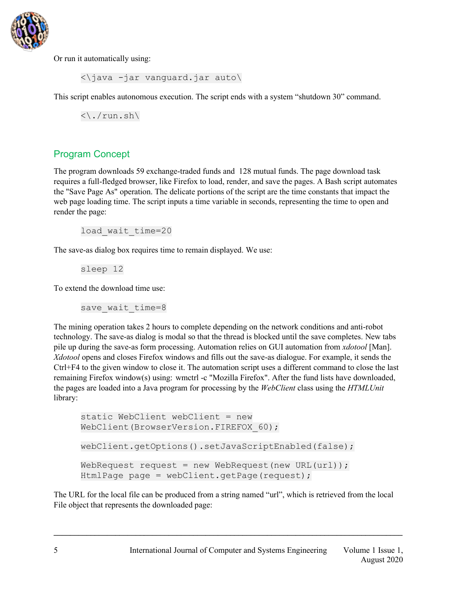

Or run it automatically using:

<\java -jar vanguard.jar auto\

This script enables autonomous execution. The script ends with a system "shutdown 30" command.

 $\langle \cdot \rangle$ ./run.sh $\langle \cdot \rangle$ 

#### Program Concept

The program downloads 59 exchange-traded funds and 128 mutual funds. The page download task requires a full-fledged browser, like Firefox to load, render, and save the pages. A Bash script automates the "Save Page As" operation. The delicate portions of the script are the time constants that impact the web page loading time. The script inputs a time variable in seconds, representing the time to open and render the page:

load wait time=20

The save-as dialog box requires time to remain displayed. We use:

sleep 12

To extend the download time use:

save wait time=8

The mining operation takes 2 hours to complete depending on the network conditions and anti-robot technology. The save-as dialog is modal so that the thread is blocked until the save completes. New tabs pile up during the save-as form processing. Automation relies on GUI automation from *xdotool* [Man]. *Xdotool* opens and closes Firefox windows and fills out the save-as dialogue. For example, it sends the Ctrl+F4 to the given window to close it. The automation script uses a different command to close the last remaining Firefox window(s) using: wmctrl -c "Mozilla Firefox". After the fund lists have downloaded, the pages are loaded into a Java program for processing by the *WebClient* class using the *HTMLUnit* library:

```
static WebClient webClient = new
WebClient(BrowserVersion.FIREFOX 60);
webClient.getOptions().setJavaScriptEnabled(false);
WebRequest request = new WebRequest(new URL(url));
HtmlPage page = webClient.getPage(request);
```
The URL for the local file can be produced from a string named "url", which is retrieved from the local File object that represents the downloaded page: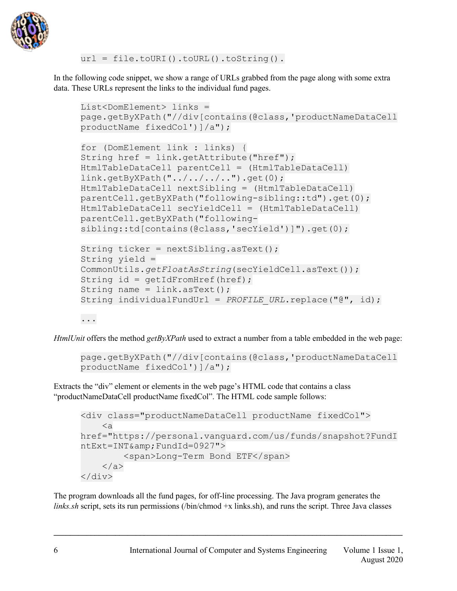

url = file.toURI().toURL().toString().

In the following code snippet, we show a range of URLs grabbed from the page along with some extra data. These URLs represent the links to the individual fund pages.

```
List<DomElement> links = 
page.getByXPath("//div[contains(@class,'productNameDataCell 
productName fixedCol')]/a");
for (DomElement link : links) {
String href = link.getAttribute("href");
HtmlTableDataCell parentCell = (HtmlTableDataCell) 
link.getByXPath("../../../..").get(0);
HtmlTableDataCell nextSibling = (HtmlTableDataCell) 
parentCell.getByXPath("following-sibling::td").get(0);
HtmlTableDataCell secYieldCell = (HtmlTableDataCell) 
parentCell.getByXPath("following-
sibling::td[contains(@class,'secYield')]").get(0);
String ticker = nextSibling.asText();
String yield = 
CommonUtils.getFloatAsString(secYieldCell.asText());
String id = getIdFromHref(href);String name = link.asText();
String individualFundUrl = PROFILE URL.replace("@", id);
```

```
...
```
*HtmlUnit* offers the method *getByXPath* used to extract a number from a table embedded in the web page:

```
page.getByXPath("//div[contains(@class,'productNameDataCell 
productName fixedCol')]/a");
```
Extracts the "div" element or elements in the web page's HTML code that contains a class "productNameDataCell productName fixedCol". The HTML code sample follows:

```
<div class="productNameDataCell productName fixedCol">
    \langle ahref="https://personal.vanguard.com/us/funds/snapshot?FundI
ntExt=INT& FundId=0927">
         <span>Long-Term Bond ETF</span>
    \langlea>
</div>
```
The program downloads all the fund pages, for off-line processing. The Java program generates the *links.sh* script, sets its run permissions (/bin/chmod  $+x$  links.sh), and runs the script. Three Java classes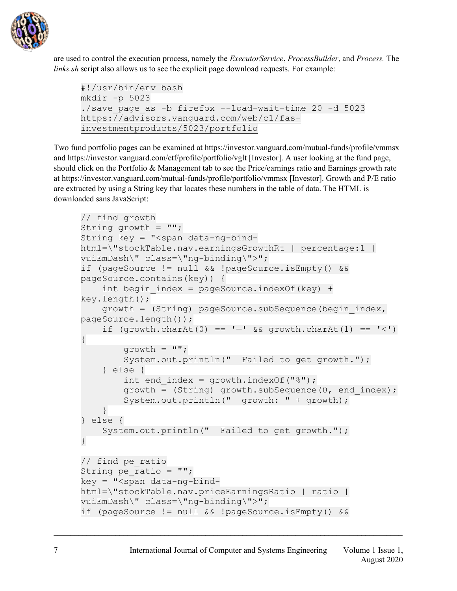

are used to control the execution process, namely the *ExecutorService*, *ProcessBuilder*, and *Process.* The *links.sh* script also allows us to see the explicit page download requests. For example:

```
#!/usr/bin/env bash
mkdir -p 5023
./save_page_as -b firefox --load-wait-time 20 -d 5023 
https://advisors.vanguard.com/web/c1/fas-
investmentproducts/5023/portfolio
```
Two fund portfolio pages can be examined at https://investor.vanguard.com/mutual-funds/profile/vmmsx and https://investor.vanguard.com/etf/profile/portfolio/vglt [Investor]. A user looking at the fund page, should click on the Portfolio & Management tab to see the Price/earnings ratio and Earnings growth rate at https://investor.vanguard.com/mutual-funds/profile/portfolio/vmmsx [Investor]. Growth and P/E ratio are extracted by using a String key that locates these numbers in the table of data. The HTML is downloaded sans JavaScript:

```
// find growth
String growth = "";
String key = "<span data-ng-bind-
html=\"stockTable.nav.earningsGrowthRt | percentage:1 | 
vuiEmDash\" class=\"ng-binding\">";
if (pageSource != null && !pageSource.isEmpty() && 
pageSource.contains(key)) {
    int begin index = pageSource.indexOf(key) +
key.length();
    growth = (String) pageSource.subSequence(begin_index, 
pageSource.length());
   if (growth.charAt(0) == - \& & growth.charAt(1) == \& '<')
{
        qrowth = ";
         System.out.println(" Failed to get growth.");
     } else {
        int end index = qrowth.indexOf("%");
        growth = (String) growth.subSequence(0, end index);
         System.out.println(" growth: " + growth);
     }
} else {
     System.out.println(" Failed to get growth.");
}
// find pe_ratio
String pe ratio = " ";
key = "<span data-nq-bind-html=\"stockTable.nav.priceEarningsRatio | ratio | 
vuiEmDash\" class=\"ng-binding\">";
if (pageSource != null && !pageSource.isEmpty() &&
```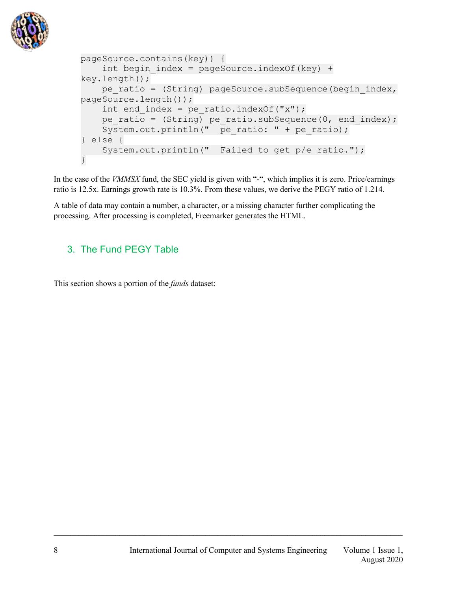

```
pageSource.contains(key)) {
    int begin index = pageSource.indexOf(key) +
key.length();
    pe_ratio = (String) pageSource.subSequence(begin_index, 
pageSource.length());
    int end index = pe ratio.indexOf("x");
   pe ratio = (String) pe ratio.subSequence(0, end index);
   System.out.println(" pe_ratio: " + pe_ratio);
} else {
    System.out.println(" Failed to get p/e ratio.");
}
```
In the case of the *VMMSX* fund, the SEC yield is given with "-", which implies it is zero. Price/earnings ratio is 12.5x. Earnings growth rate is 10.3%. From these values, we derive the PEGY ratio of 1.214.

A table of data may contain a number, a character, or a missing character further complicating the processing. After processing is completed, Freemarker generates the HTML.

#### 3. The Fund PEGY Table

This section shows a portion of the *funds* dataset: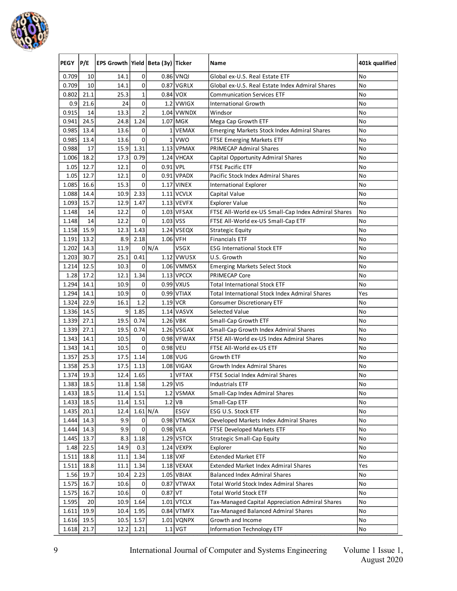

| PEGY           | P/E          | EPS Growth Yield   Beta (3y)   Ticker |                |          |                    | Name                                                  | 401k qualified |
|----------------|--------------|---------------------------------------|----------------|----------|--------------------|-------------------------------------------------------|----------------|
| 0.709          | 10           | 14.1                                  | 0              |          | 0.86 VNQI          | Global ex-U.S. Real Estate ETF                        | No             |
| 0.709          | 10           | 14.1                                  | 0              |          | 0.87 VGRLX         | Global ex-U.S. Real Estate Index Admiral Shares       | No             |
| 0.802          | 21.1         | 25.3                                  | $\mathbf 1$    |          | 0.84 VOX           | <b>Communication Services ETF</b>                     | No             |
| 0.9            | 21.6         | 24                                    | 0              |          | 1.2 VWIGX          | International Growth                                  | No             |
| 0.915          | 14           | 13.3                                  | $\overline{2}$ |          | 1.04 VWNDX         | Windsor                                               | No             |
| 0.941          | 24.5         | 24.8                                  | 1.24           |          | 1.07 MGK           | Mega Cap Growth ETF                                   | No             |
| 0.985          | 13.4         | 13.6                                  | 0              | 1        | <b>VEMAX</b>       | Emerging Markets Stock Index Admiral Shares           | No             |
| 0.985          | 13.4         | 13.6                                  | $\pmb{0}$      | $1\vert$ | <b>VWO</b>         | FTSE Emerging Markets ETF                             | No             |
| 0.988          | 17           | 15.9                                  | 1.31           |          | $1.13$ VPMAX       | <b>PRIMECAP Admiral Shares</b>                        | No             |
| 1.006          | 18.2         | 17.3                                  | 0.79           |          | 1.24 VHCAX         | Capital Opportunity Admiral Shares                    | No             |
| 1.05           | 12.7         | 12.1                                  | 0              | 0.91 VPL |                    | <b>FTSE Pacific ETF</b>                               | No             |
| 1.05           | 12.7         | 12.1                                  | 0              |          | 0.91 VPADX         | Pacific Stock Index Admiral Shares                    | No             |
| 1.085          | 16.6         | 15.3                                  | 0              |          | 1.17 VINEX         | International Explorer                                | No             |
| 1.088          | 14.4         | 10.9                                  | 2.33           |          | 1.11 VCVLX         | Capital Value                                         | No             |
| 1.093          | 15.7         | 12.9                                  | 1.47           |          | $1.13$ VEVFX       | <b>Explorer Value</b>                                 | No             |
| 1.148          | 14           | 12.2                                  | 0              |          | 1.03 VFSAX         | FTSE All-World ex-US Small-Cap Index Admiral Shares   | No             |
| 1.148          | 14           | 12.2                                  | 0              | 1.03 VSS |                    | FTSE All-World ex-US Small-Cap ETF                    | No             |
| 1.158          | 15.9         | 12.3                                  | 1.43           |          | 1.24 VSEQX         | <b>Strategic Equity</b>                               | No             |
| 1.191          | 13.2         | 8.9                                   | 2.18           |          | 1.06 VFH           | <b>Financials ETF</b>                                 | No             |
| 1.202          | 14.3         | 11.9                                  |                | 0 N/A    | VSGX               | <b>ESG International Stock ETF</b>                    | No             |
| 1.203          | 30.7         | 25.1                                  | 0.41           |          | $1.12$ VWUSX       | U.S. Growth                                           | No             |
| 1.214          | 12.5         | 10.3                                  | 0              |          | 1.06 VMMSX         | <b>Emerging Markets Select Stock</b>                  | No             |
| 1.28           | 17.2         | 12.1                                  | 1.34           |          | 1.13 VPCCX         | <b>PRIMECAP Core</b>                                  | No             |
| 1.294          | 14.1         | 10.9                                  | 0              |          | 0.99 VXUS          | <b>Total International Stock ETF</b>                  | No             |
| 1.294          | 14.1         | 10.9                                  | 0              |          | 0.99 VTIAX         | <b>Total International Stock Index Admiral Shares</b> | Yes            |
| 1.324          | 22.9         | 16.1                                  | 1.2            |          | 1.19 VCR           | <b>Consumer Discretionary ETF</b>                     | No             |
| 1.336          | 14.5         | 9                                     | 1.85           |          | 1.14 VASVX         | Selected Value                                        | No             |
| 1.339          | 27.1         | 19.5                                  | 0.74           |          | 1.26 VBK           | Small-Cap Growth ETF                                  | No             |
| 1.339          | 27.1         | 19.5                                  | 0.74           |          | 1.26 VSGAX         | Small-Cap Growth Index Admiral Shares                 | No             |
| 1.343          | 14.1         | 10.5                                  | 0              |          | 0.98 VFWAX         | FTSE All-World ex-US Index Admiral Shares             | No             |
| 1.343          | 14.1         | 10.5                                  | 0              |          | 0.98 VEU           | FTSE All-World ex-US ETF                              | No             |
| 1.357          | 25.3         | 17.5                                  | 1.14           |          | 1.08 VUG           | Growth ETF                                            | No             |
| 1.358          | 25.3         | 17.5                                  | 1.13           |          | 1.08 VIGAX         | <b>Growth Index Admiral Shares</b>                    | No             |
| 1.374          | 19.3         | 12.4                                  | 1.65           | $1\vert$ | <b>VFTAX</b>       | FTSE Social Index Admiral Shares                      | No             |
| 1.383          | 18.5         | 11.8                                  | 1.58           | 1.29 VIS |                    | <b>Industrials ETF</b>                                | No             |
| 1.433          | 18.5         |                                       | $11.4$ 1.51    |          | 1.2 VSMAX          | Small-Cap Index Admiral Shares                        | No             |
|                |              |                                       |                | $1.2$ VB |                    |                                                       |                |
| 1.433          | 18.5         | 11.4                                  | 1.51           |          |                    | Small-Cap ETF                                         | No             |
| 1.435<br>1.444 | 20.1<br>14.3 | 12.4<br>9.9                           | $1.61$ N/A     |          | ESGV<br>0.98 VTMGX | ESG U.S. Stock ETF                                    | No<br>No       |
|                |              |                                       | 0              |          |                    | Developed Markets Index Admiral Shares                |                |
| 1.444          | 14.3         | 9.9                                   | 0              |          | 0.98 VEA           | FTSE Developed Markets ETF                            | No             |
| 1.445          | 13.7         | 8.3                                   | 1.18           |          | 1.29 VSTCX         | <b>Strategic Small-Cap Equity</b>                     | No             |
| 1.48           | 22.5         | 14.9                                  | 0.3            |          | 1.24 VEXPX         | Explorer                                              | No             |
| 1.511          | 18.8         | 11.1                                  | 1.34           | 1.18 VXF |                    | <b>Extended Market ETF</b>                            | No             |
| 1.511          | 18.8         | 11.1                                  | 1.34           |          | 1.18 VEXAX         | Extended Market Index Admiral Shares                  | Yes            |
| 1.56           | 19.7         | 10.4                                  | 2.23           |          | 1.05 VBIAX         | <b>Balanced Index Admiral Shares</b>                  | No             |
| 1.575          | 16.7         | 10.6                                  | 0              |          | $0.87$ VTWAX       | Total World Stock Index Admiral Shares                | No             |
| 1.575          | 16.7         | 10.6                                  | 0              | 0.87 VT  |                    | <b>Total World Stock ETF</b>                          | No             |
| 1.595          | 20           | 10.9                                  | 1.64           |          | 1.01 VTCLX         | Tax-Managed Capital Appreciation Admiral Shares       | No             |
| 1.611          | 19.9         | 10.4                                  | 1.95           |          | 0.84 VTMFX         | Tax-Managed Balanced Admiral Shares                   | No             |
| 1.616          | 19.5         | 10.5                                  | 1.57           |          | 1.01 VQNPX         | Growth and Income                                     | No             |
| 1.618          | 21.7         | 12.2                                  | 1.21           |          | 1.1 VGT            | Information Technology ETF                            | No             |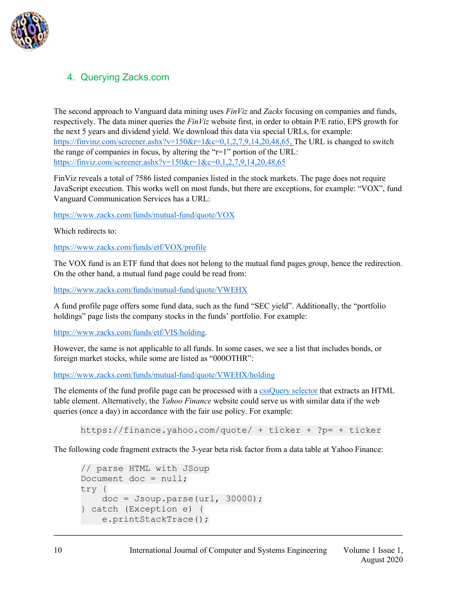

#### 4. Querying Zacks.com

The second approach to Vanguard data mining uses *FinViz* and *Zacks* focusing on companies and funds, respectively. The data miner queries the *FinViz* website first, in order to obtain P/E ratio, EPS growth for the next 5 years and dividend yield. We download this data via special URLs, for example: https://finvinz.com/screener.ashx?v=150&r=1&c=0,1,2,7,9,14,20,48,65. The URL is changed to switch the range of companies in focus, by altering the "r=1" portion of the URL: https://finviz.com/screener.ashx?v=150&r=1&c=0,1,2,7,9,14,20,48,65

FinViz reveals a total of 7586 listed companies listed in the stock markets. The page does not require JavaScript execution. This works well on most funds, but there are exceptions, for example: "VOX", fund Vanguard Communication Services has a URL:

https://www.zacks.com/funds/mutual-fund/quote/VOX

Which redirects to:

https://www.zacks.com/funds/etf/VOX/profile

The VOX fund is an ETF fund that does not belong to the mutual fund pages group, hence the redirection. On the other hand, a mutual fund page could be read from:

https://www.zacks.com/funds/mutual-fund/quote/VWEHX

A fund profile page offers some fund data, such as the fund "SEC yield". Additionally, the "portfolio holdings" page lists the company stocks in the funds' portfolio. For example:

https://www.zacks.com/funds/etf/VIS/holding.

However, the same is not applicable to all funds. In some cases, we see a list that includes bonds, or foreign market stocks, while some are listed as "000OTHR":

https://www.zacks.com/funds/mutual-fund/quote/VWEHX/holding

The elements of the fund profile page can be processed with a cssQuery selector that extracts an HTML table element. Alternatively, the *Yahoo Finance* website could serve us with similar data if the web queries (once a day) in accordance with the fair use policy. For example:

https://finance.yahoo.com/quote/ + ticker + ?p= + ticker

**\_\_\_\_\_\_\_\_\_\_\_\_\_\_\_\_\_\_\_\_\_\_\_\_\_\_\_\_\_\_\_\_\_\_\_\_\_\_\_\_\_\_\_\_\_\_\_\_\_\_\_\_\_\_\_\_\_\_\_\_\_\_\_\_\_\_\_\_\_\_\_\_\_\_\_\_\_\_\_\_\_\_\_\_\_**

The following code fragment extracts the 3-year beta risk factor from a data table at Yahoo Finance:

```
// parse HTML with JSoup
Document doc = null;try {
   doc = Joseph.parse(url, 30000);} catch (Exception e) {
    e.printStackTrace();
```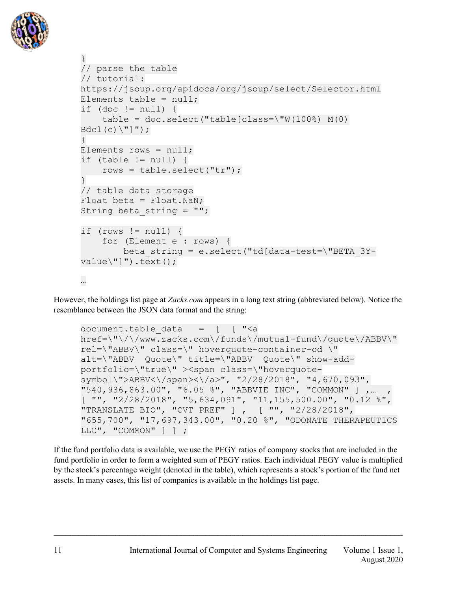

```
}
// parse the table
// tutorial: 
https://jsoup.org/apidocs/org/jsoup/select/Selector.html
Elements table = null;if (doc != null) {
    table = doc.setect("table[class={\tt W(100%)} M(0)Bdcl(c)\ (") ");
}
Elements rows = null;if (table != null) {
     rows = table.select("tr");
}
// table data storage
Float beta = Float.NaN;
String beta string = "";
if (rows != null) {
     for (Element e : rows) {
         beta_string = e.select("td[data-test=\"BETA_3Y-
value\\"]").text();
…
```
However, the holdings list page at *Zacks.com* appears in a long text string (abbreviated below). Notice the resemblance between the JSON data format and the string:

```
document.table data = [ " <a
href=\"\/\/www.zacks.com\/funds\/mutual-fund\/quote\/ABBV\" 
rel=\"ABBV\" class=\" hoverquote-container-od \" 
alt=\"ABBV Quote\" title=\"ABBV Quote\" show-add-
portfolio=\"true\" ><span class=\"hoverquote-
symbol\">ABBV<\/span><\/a>", "2/28/2018", "4,670,093", 
"540,936,863.00", "6.05 %", "ABBVIE INC", "COMMON" ] , ...
[ "", "2/28/2018", "5,634,091", "11,155,500.00", "0.12 %", 
"TRANSLATE BIO", "CVT PREF" ] , [ "", "2/28/2018", 
"655,700", "17,697,343.00", "0.20 %", "ODONATE THERAPEUTICS 
LLC", "COMMON" ] ] ;
```
If the fund portfolio data is available, we use the PEGY ratios of company stocks that are included in the fund portfolio in order to form a weighted sum of PEGY ratios. Each individual PEGY value is multiplied by the stock's percentage weight (denoted in the table), which represents a stock's portion of the fund net assets. In many cases, this list of companies is available in the holdings list page.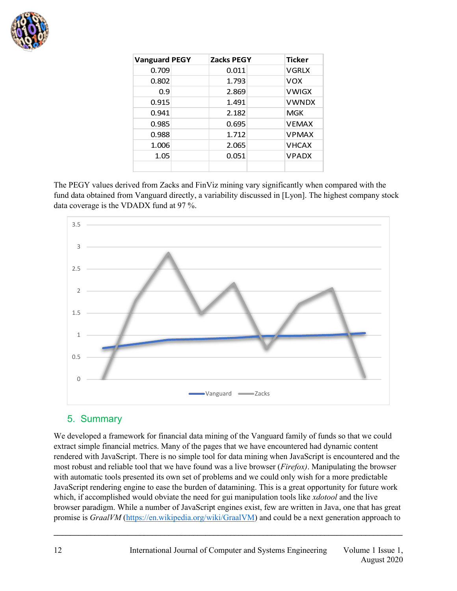

| <b>Vanguard PEGY</b> | Zacks PEGY | <b>Ticker</b> |
|----------------------|------------|---------------|
| 0.709                | 0.011      | <b>VGRIX</b>  |
| 0.802                | 1.793      | <b>VOX</b>    |
| 0.9                  | 2.869      | <b>VWIGX</b>  |
| 0.915                | 1.491      | <b>VWNDX</b>  |
| 0.941                | 2.182      | <b>MGK</b>    |
| 0.985                | 0.695      | <b>VFMAX</b>  |
| 0.988                | 1.712      | <b>VPMAX</b>  |
| 1.006                | 2.065      | <b>VHCAX</b>  |
| 1.05                 | 0.051      | <b>VPADX</b>  |
|                      |            |               |

The PEGY values derived from Zacks and FinViz mining vary significantly when compared with the fund data obtained from Vanguard directly, a variability discussed in [Lyon]. The highest company stock data coverage is the VDADX fund at 97 %.



#### 5. Summary

We developed a framework for financial data mining of the Vanguard family of funds so that we could extract simple financial metrics. Many of the pages that we have encountered had dynamic content rendered with JavaScript. There is no simple tool for data mining when JavaScript is encountered and the most robust and reliable tool that we have found was a live browser (*Firefox)*. Manipulating the browser with automatic tools presented its own set of problems and we could only wish for a more predictable JavaScript rendering engine to ease the burden of datamining. This is a great opportunity for future work which, if accomplished would obviate the need for gui manipulation tools like *xdotool* and the live browser paradigm. While a number of JavaScript engines exist, few are written in Java, one that has great promise is *GraalVM* (https://en.wikipedia.org/wiki/GraalVM) and could be a next generation approach to